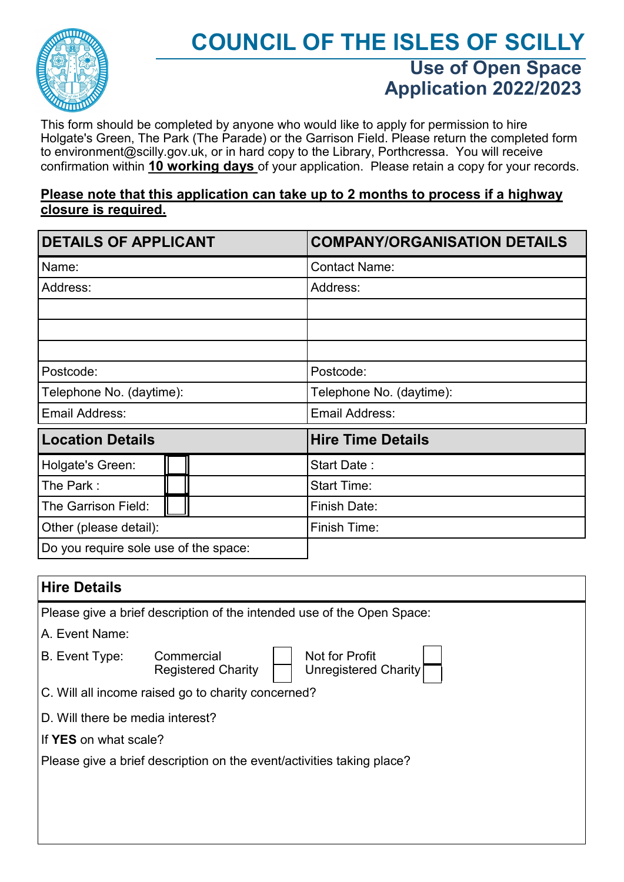

## **COUNCIL OF THE ISLES OF SCILLY Use of Open Space Application 2022/2023**

This form should be completed by anyone who would like to apply for permission to hire Holgate's Green, The Park (The Parade) or the Garrison Field. Please return the completed form to environment@scilly.gov.uk, or in hard copy to the Library, Porthcressa. You will receive confirmation within **10 working days** of your application. Please retain a copy for your records.

#### **Please note that this application can take up to 2 months to process if a highway closure is required.**

| <b>DETAILS OF APPLICANT</b>           |  | <b>COMPANY/ORGANISATION DETAILS</b> |  |  |
|---------------------------------------|--|-------------------------------------|--|--|
| Name:                                 |  | <b>Contact Name:</b>                |  |  |
| Address:                              |  | Address:                            |  |  |
|                                       |  |                                     |  |  |
|                                       |  |                                     |  |  |
|                                       |  |                                     |  |  |
| Postcode:                             |  | Postcode:                           |  |  |
| Telephone No. (daytime):              |  | Telephone No. (daytime):            |  |  |
| Email Address:                        |  | Email Address:                      |  |  |
| <b>Location Details</b>               |  | <b>Hire Time Details</b>            |  |  |
| Holgate's Green:                      |  | Start Date:                         |  |  |
| The Park:                             |  | <b>Start Time:</b>                  |  |  |
| The Garrison Field:                   |  | <b>Finish Date:</b>                 |  |  |
| Other (please detail):                |  | Finish Time:                        |  |  |
| Do you require sole use of the space: |  |                                     |  |  |

| <b>Hire Details</b>                                                    |                                         |                                        |  |  |  |  |
|------------------------------------------------------------------------|-----------------------------------------|----------------------------------------|--|--|--|--|
| Please give a brief description of the intended use of the Open Space: |                                         |                                        |  |  |  |  |
| A. Event Name:                                                         |                                         |                                        |  |  |  |  |
| B. Event Type:                                                         | Commercial<br><b>Registered Charity</b> | Not for Profit<br>Unregistered Charity |  |  |  |  |
| C. Will all income raised go to charity concerned?                     |                                         |                                        |  |  |  |  |
| D. Will there be media interest?                                       |                                         |                                        |  |  |  |  |
| If <b>YES</b> on what scale?                                           |                                         |                                        |  |  |  |  |
| Please give a brief description on the event/activities taking place?  |                                         |                                        |  |  |  |  |
|                                                                        |                                         |                                        |  |  |  |  |
|                                                                        |                                         |                                        |  |  |  |  |
|                                                                        |                                         |                                        |  |  |  |  |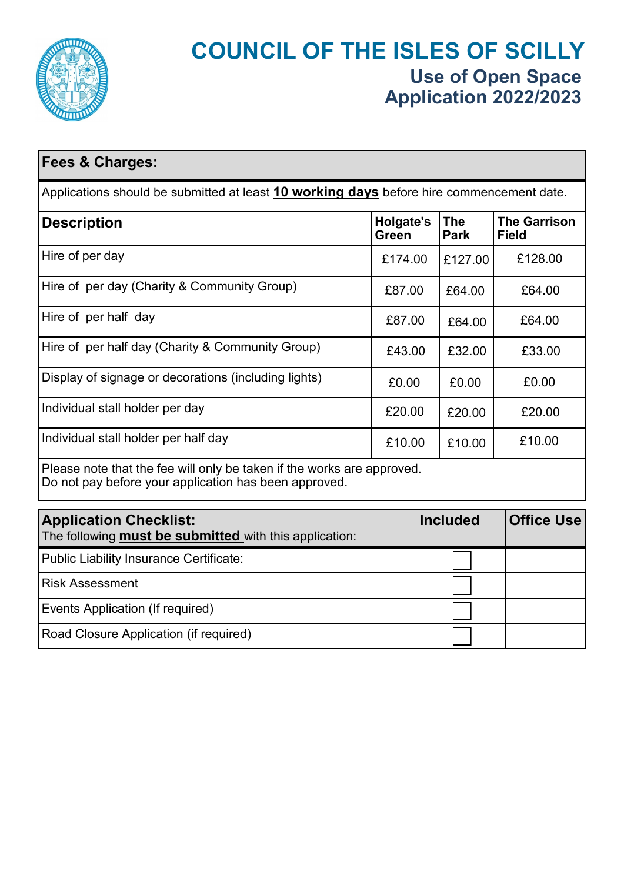

# **COUNCIL OF THE ISLES OF SCILLY Use of Open Space Application 2022/2023**

| <b>Fees &amp; Charges:</b>                                                                                                      |         |                                               |                                     |  |  |  |
|---------------------------------------------------------------------------------------------------------------------------------|---------|-----------------------------------------------|-------------------------------------|--|--|--|
| Applications should be submitted at least 10 working days before hire commencement date.                                        |         |                                               |                                     |  |  |  |
| <b>Description</b>                                                                                                              |         | <b>Holgate's</b><br><b>The</b><br><b>Park</b> | <b>The Garrison</b><br><b>Field</b> |  |  |  |
| Hire of per day                                                                                                                 | £174.00 | £127.00                                       | £128.00                             |  |  |  |
| Hire of per day (Charity & Community Group)                                                                                     | £87.00  | £64.00                                        | £64.00                              |  |  |  |
| Hire of per half day                                                                                                            | £87.00  | £64.00                                        | £64.00                              |  |  |  |
| Hire of per half day (Charity & Community Group)                                                                                | £43.00  | £32.00                                        | £33.00                              |  |  |  |
| Display of signage or decorations (including lights)                                                                            | £0.00   | £0.00                                         | £0.00                               |  |  |  |
| Individual stall holder per day                                                                                                 | £20.00  | £20.00                                        | £20.00                              |  |  |  |
| Individual stall holder per half day                                                                                            | £10.00  | £10.00                                        | £10.00                              |  |  |  |
| Please note that the fee will only be taken if the works are approved.<br>Do not pay before your application has been approved. |         |                                               |                                     |  |  |  |
| <b>Application Checklist:</b><br>The following <b>must be submitted</b> with this application:                                  |         | <b>Included</b>                               | <b>Office Use</b>                   |  |  |  |
| <b>Public Liability Insurance Certificate:</b>                                                                                  |         |                                               |                                     |  |  |  |
| <b>Risk Assessment</b>                                                                                                          |         |                                               |                                     |  |  |  |

Events Application (If required)

Road Closure Application (if required)